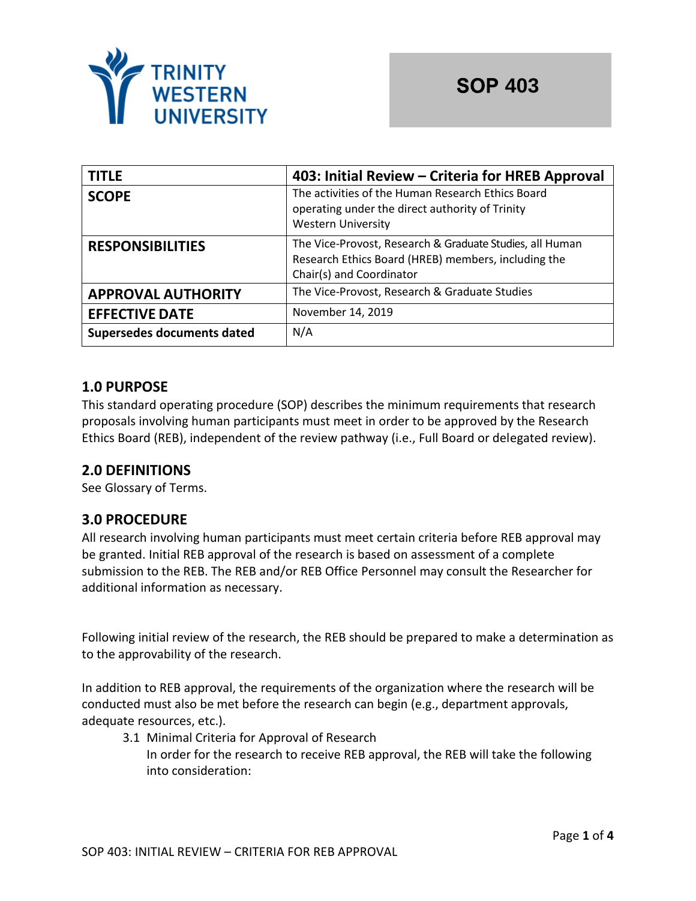

| <b>TITLE</b>               | 403: Initial Review – Criteria for HREB Approval                                                                                            |
|----------------------------|---------------------------------------------------------------------------------------------------------------------------------------------|
| <b>SCOPE</b>               | The activities of the Human Research Ethics Board<br>operating under the direct authority of Trinity<br><b>Western University</b>           |
| <b>RESPONSIBILITIES</b>    | The Vice-Provost, Research & Graduate Studies, all Human<br>Research Ethics Board (HREB) members, including the<br>Chair(s) and Coordinator |
| <b>APPROVAL AUTHORITY</b>  | The Vice-Provost, Research & Graduate Studies                                                                                               |
| <b>EFFECTIVE DATE</b>      | November 14, 2019                                                                                                                           |
| Supersedes documents dated | N/A                                                                                                                                         |

# **1.0 PURPOSE**

This standard operating procedure (SOP) describes the minimum requirements that research proposals involving human participants must meet in order to be approved by the Research Ethics Board (REB), independent of the review pathway (i.e., Full Board or delegated review).

## **2.0 DEFINITIONS**

See Glossary of Terms.

## **3.0 PROCEDURE**

All research involving human participants must meet certain criteria before REB approval may be granted. Initial REB approval of the research is based on assessment of a complete submission to the REB. The REB and/or REB Office Personnel may consult the Researcher for additional information as necessary.

Following initial review of the research, the REB should be prepared to make a determination as to the approvability of the research.

In addition to REB approval, the requirements of the organization where the research will be conducted must also be met before the research can begin (e.g., department approvals, adequate resources, etc.).

3.1 Minimal Criteria for Approval of Research In order for the research to receive REB approval, the REB will take the following into consideration: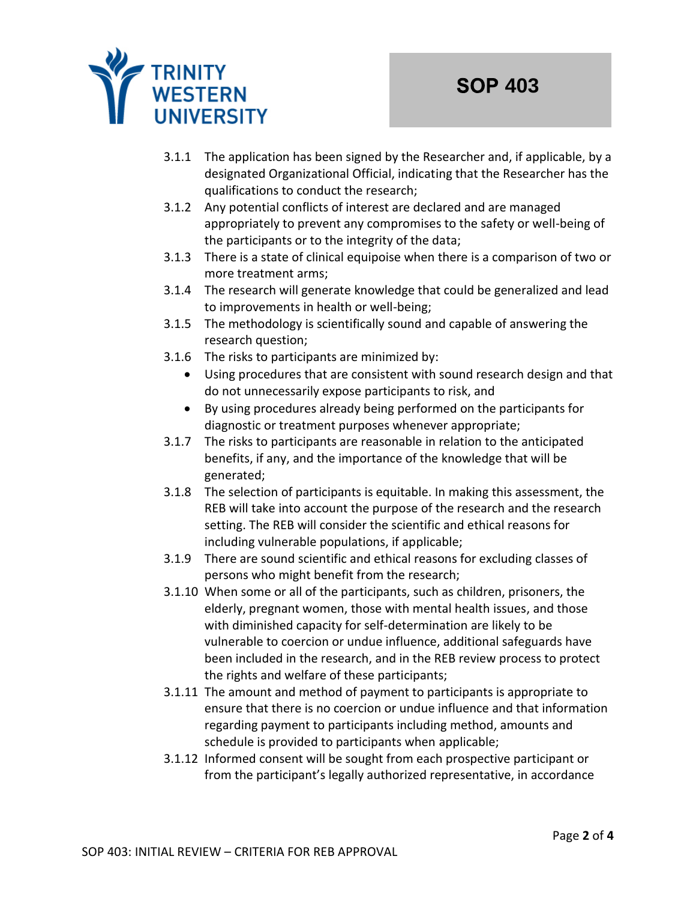

- 3.1.1 The application has been signed by the Researcher and, if applicable, by a designated Organizational Official, indicating that the Researcher has the qualifications to conduct the research;
- 3.1.2 Any potential conflicts of interest are declared and are managed appropriately to prevent any compromises to the safety or well-being of the participants or to the integrity of the data;
- 3.1.3 There is a state of clinical equipoise when there is a comparison of two or more treatment arms;
- 3.1.4 The research will generate knowledge that could be generalized and lead to improvements in health or well-being;
- 3.1.5 The methodology is scientifically sound and capable of answering the research question;
- 3.1.6 The risks to participants are minimized by:
	- Using procedures that are consistent with sound research design and that do not unnecessarily expose participants to risk, and
	- By using procedures already being performed on the participants for diagnostic or treatment purposes whenever appropriate;
- 3.1.7 The risks to participants are reasonable in relation to the anticipated benefits, if any, and the importance of the knowledge that will be generated;
- 3.1.8 The selection of participants is equitable. In making this assessment, the REB will take into account the purpose of the research and the research setting. The REB will consider the scientific and ethical reasons for including vulnerable populations, if applicable;
- 3.1.9 There are sound scientific and ethical reasons for excluding classes of persons who might benefit from the research;
- 3.1.10 When some or all of the participants, such as children, prisoners, the elderly, pregnant women, those with mental health issues, and those with diminished capacity for self-determination are likely to be vulnerable to coercion or undue influence, additional safeguards have been included in the research, and in the REB review process to protect the rights and welfare of these participants;
- 3.1.11 The amount and method of payment to participants is appropriate to ensure that there is no coercion or undue influence and that information regarding payment to participants including method, amounts and schedule is provided to participants when applicable;
- 3.1.12 Informed consent will be sought from each prospective participant or from the participant's legally authorized representative, in accordance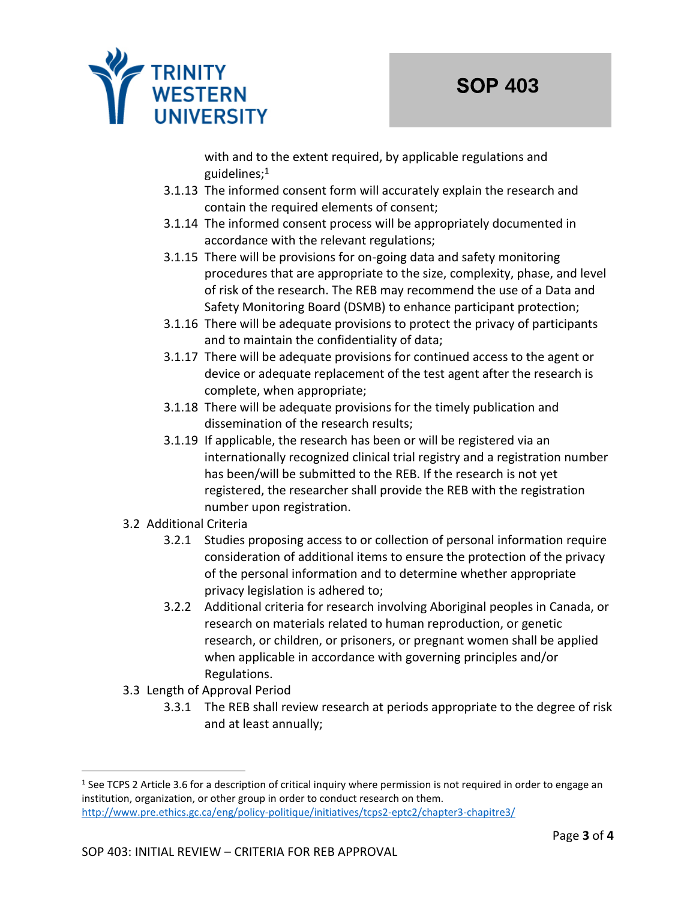

with and to the extent required, by applicable regulations and guidelines; $<sup>1</sup>$ </sup>

- 3.1.13 The informed consent form will accurately explain the research and contain the required elements of consent;
- 3.1.14 The informed consent process will be appropriately documented in accordance with the relevant regulations;
- 3.1.15 There will be provisions for on-going data and safety monitoring procedures that are appropriate to the size, complexity, phase, and level of risk of the research. The REB may recommend the use of a Data and Safety Monitoring Board (DSMB) to enhance participant protection;
- 3.1.16 There will be adequate provisions to protect the privacy of participants and to maintain the confidentiality of data;
- 3.1.17 There will be adequate provisions for continued access to the agent or device or adequate replacement of the test agent after the research is complete, when appropriate;
- 3.1.18 There will be adequate provisions for the timely publication and dissemination of the research results;
- 3.1.19 If applicable, the research has been or will be registered via an internationally recognized clinical trial registry and a registration number has been/will be submitted to the REB. If the research is not yet registered, the researcher shall provide the REB with the registration number upon registration.
- 3.2 Additional Criteria
	- 3.2.1 Studies proposing access to or collection of personal information require consideration of additional items to ensure the protection of the privacy of the personal information and to determine whether appropriate privacy legislation is adhered to;
	- 3.2.2 Additional criteria for research involving Aboriginal peoples in Canada, or research on materials related to human reproduction, or genetic research, or children, or prisoners, or pregnant women shall be applied when applicable in accordance with governing principles and/or Regulations.
- 3.3 Length of Approval Period
	- 3.3.1 The REB shall review research at periods appropriate to the degree of risk and at least annually;

<sup>&</sup>lt;sup>1</sup> See TCPS 2 Article 3.6 for a description of critical inquiry where permission is not required in order to engage an institution, organization, or other group in order to conduct research on them. <http://www.pre.ethics.gc.ca/eng/policy-politique/initiatives/tcps2-eptc2/chapter3-chapitre3/>